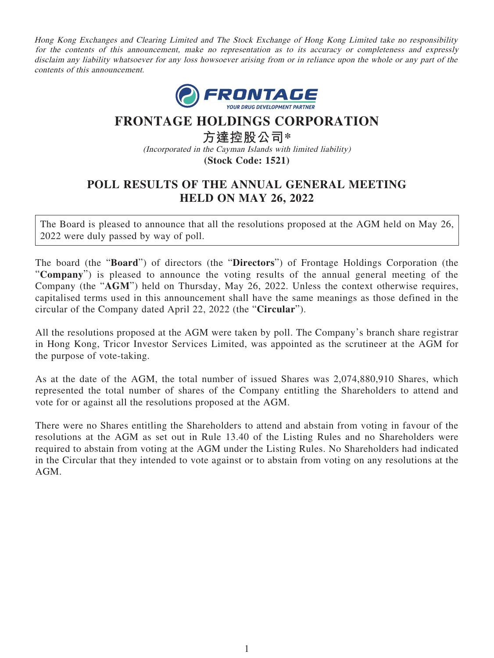Hong Kong Exchanges and Clearing Limited and The Stock Exchange of Hong Kong Limited take no responsibility for the contents of this announcement, make no representation as to its accuracy or completeness and expressly disclaim any liability whatsoever for any loss howsoever arising from or in reliance upon the whole or any part of the contents of this announcement.



## **FRONTAGE HOLDINGS CORPORATION**

**方達控股公司\*** (Incorporated in the Cayman Islands with limited liability) **(Stock Code: 1521)**

## **POLL RESULTS OF THE ANNUAL GENERAL MEETING HELD ON MAY 26, 2022**

The Board is pleased to announce that all the resolutions proposed at the AGM held on May 26, 2022 were duly passed by way of poll.

The board (the "**Board**") of directors (the "**Directors**") of Frontage Holdings Corporation (the "**Company**") is pleased to announce the voting results of the annual general meeting of the Company (the "**AGM**") held on Thursday, May 26, 2022. Unless the context otherwise requires, capitalised terms used in this announcement shall have the same meanings as those defined in the circular of the Company dated April 22, 2022 (the "**Circular**").

All the resolutions proposed at the AGM were taken by poll. The Company's branch share registrar in Hong Kong, Tricor Investor Services Limited, was appointed as the scrutineer at the AGM for the purpose of vote-taking.

As at the date of the AGM, the total number of issued Shares was 2,074,880,910 Shares, which represented the total number of shares of the Company entitling the Shareholders to attend and vote for or against all the resolutions proposed at the AGM.

There were no Shares entitling the Shareholders to attend and abstain from voting in favour of the resolutions at the AGM as set out in Rule 13.40 of the Listing Rules and no Shareholders were required to abstain from voting at the AGM under the Listing Rules. No Shareholders had indicated in the Circular that they intended to vote against or to abstain from voting on any resolutions at the AGM.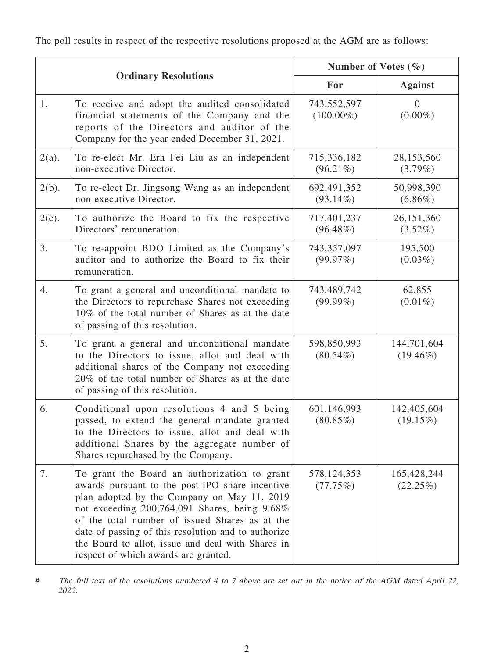The poll results in respect of the respective resolutions proposed at the AGM are as follows:

| <b>Ordinary Resolutions</b> |                                                                                                                                                                                                                                                                                                                                                                                                       | Number of Votes $(\% )$     |                            |
|-----------------------------|-------------------------------------------------------------------------------------------------------------------------------------------------------------------------------------------------------------------------------------------------------------------------------------------------------------------------------------------------------------------------------------------------------|-----------------------------|----------------------------|
|                             |                                                                                                                                                                                                                                                                                                                                                                                                       | For                         | <b>Against</b>             |
| 1.                          | To receive and adopt the audited consolidated<br>financial statements of the Company and the<br>reports of the Directors and auditor of the<br>Company for the year ended December 31, 2021.                                                                                                                                                                                                          | 743,552,597<br>$(100.00\%)$ | $\theta$<br>$(0.00\%)$     |
| $2(a)$ .                    | To re-elect Mr. Erh Fei Liu as an independent<br>non-executive Director.                                                                                                                                                                                                                                                                                                                              | 715,336,182<br>$(96.21\%)$  | 28,153,560<br>$(3.79\%)$   |
| $2(b)$ .                    | To re-elect Dr. Jingsong Wang as an independent<br>non-executive Director.                                                                                                                                                                                                                                                                                                                            | 692,491,352<br>$(93.14\%)$  | 50,998,390<br>$(6.86\%)$   |
| $2(c)$ .                    | To authorize the Board to fix the respective<br>Directors' remuneration.                                                                                                                                                                                                                                                                                                                              | 717,401,237<br>$(96.48\%)$  | 26,151,360<br>$(3.52\%)$   |
| 3.                          | To re-appoint BDO Limited as the Company's<br>auditor and to authorize the Board to fix their<br>remuneration.                                                                                                                                                                                                                                                                                        | 743,357,097<br>(99.97%)     | 195,500<br>$(0.03\%)$      |
| 4.                          | To grant a general and unconditional mandate to<br>the Directors to repurchase Shares not exceeding<br>10% of the total number of Shares as at the date<br>of passing of this resolution.                                                                                                                                                                                                             | 743,489,742<br>$(99.99\%)$  | 62,855<br>$(0.01\%)$       |
| 5.                          | To grant a general and unconditional mandate<br>to the Directors to issue, allot and deal with<br>additional shares of the Company not exceeding<br>20% of the total number of Shares as at the date<br>of passing of this resolution.                                                                                                                                                                | 598,850,993<br>$(80.54\%)$  | 144,701,604<br>$(19.46\%)$ |
| 6.                          | Conditional upon resolutions 4 and 5 being<br>passed, to extend the general mandate granted<br>to the Directors to issue, allot and deal with<br>additional Shares by the aggregate number of<br>Shares repurchased by the Company.                                                                                                                                                                   | 601,146,993<br>$(80.85\%)$  | 142,405,604<br>$(19.15\%)$ |
| 7.                          | To grant the Board an authorization to grant<br>awards pursuant to the post-IPO share incentive<br>plan adopted by the Company on May 11, 2019<br>not exceeding 200,764,091 Shares, being 9.68%<br>of the total number of issued Shares as at the<br>date of passing of this resolution and to authorize<br>the Board to allot, issue and deal with Shares in<br>respect of which awards are granted. | 578, 124, 353<br>(77.75%)   | 165,428,244<br>(22.25%)    |

# The full text of the resolutions numbered 4 to 7 above are set out in the notice of the AGM dated April 22, 2022.